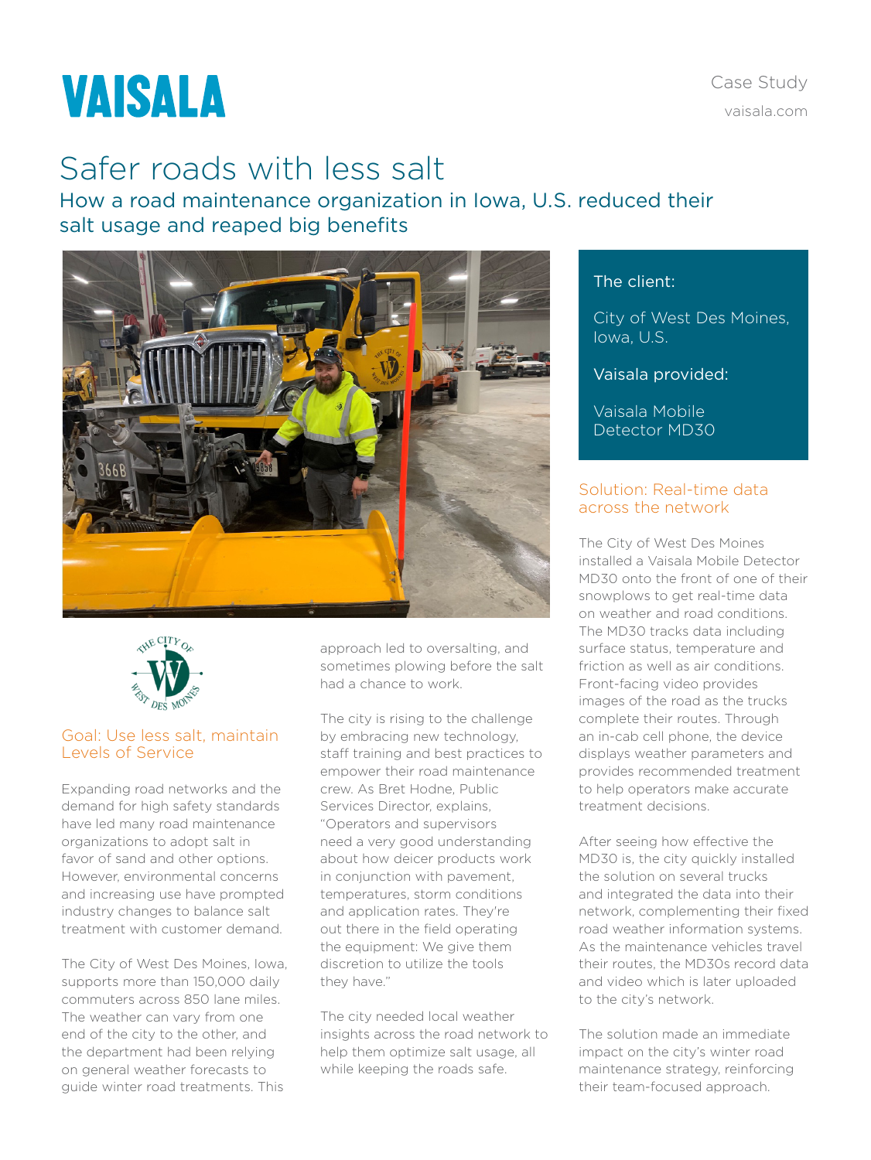Case Study [vaisala.com](http://www.vaisala.com)

# **VAISALA**

## Safer roads with less salt

How a road maintenance organization in Iowa, U.S. reduced their salt usage and reaped big benefits





#### Goal: Use less salt, maintain Levels of Service

Expanding road networks and the demand for high safety standards have led many road maintenance organizations to adopt salt in favor of sand and other options. However, environmental concerns and increasing use have prompted industry changes to balance salt treatment with customer demand.

The City of West Des Moines, Iowa, supports more than 150,000 daily commuters across 850 lane miles. The weather can vary from one end of the city to the other, and the department had been relying on general weather forecasts to guide winter road treatments. This

approach led to oversalting, and sometimes plowing before the salt had a chance to work.

The city is rising to the challenge by embracing new technology, staff training and best practices to empower their road maintenance crew. As Bret Hodne, Public Services Director, explains, "Operators and supervisors need a very good understanding about how deicer products work in conjunction with pavement, temperatures, storm conditions and application rates. They're out there in the field operating the equipment: We give them discretion to utilize the tools they have."

The city needed local weather insights across the road network to help them optimize salt usage, all while keeping the roads safe.

### The client:

City of West Des Moines, Iowa, U.S.

#### Vaisala provided:

Vaisala Mobile Detector MD30

#### Solution: Real-time data across the network

The City of West Des Moines installed a Vaisala Mobile Detector MD30 onto the front of one of their snowplows to get real-time data on weather and road conditions. The MD30 tracks data including surface status, temperature and friction as well as air conditions. Front-facing video provides images of the road as the trucks complete their routes. Through an in-cab cell phone, the device displays weather parameters and provides recommended treatment to help operators make accurate treatment decisions.

After seeing how effective the MD30 is, the city quickly installed the solution on several trucks and integrated the data into their network, complementing their fixed road weather information systems. As the maintenance vehicles travel their routes, the MD30s record data and video which is later uploaded to the city's network.

The solution made an immediate impact on the city's winter road maintenance strategy, reinforcing their team-focused approach.